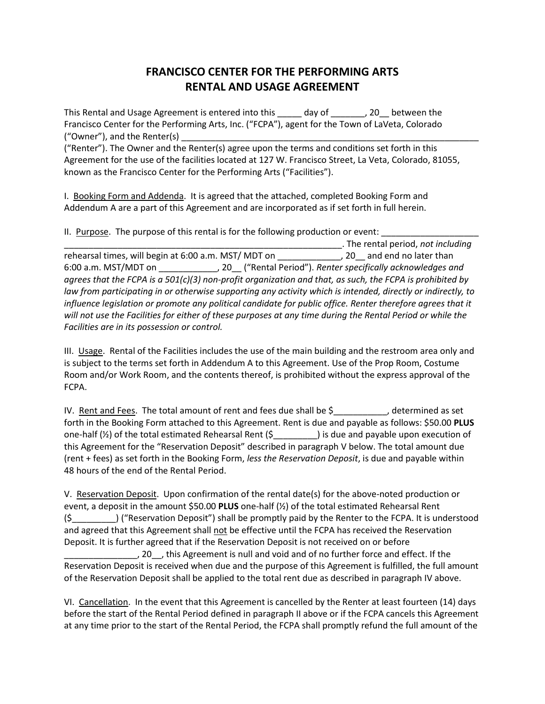## **FRANCISCO CENTER FOR THE PERFORMING ARTS RENTAL AND USAGE AGREEMENT**

This Rental and Usage Agreement is entered into this \_\_\_\_\_ day of \_\_\_\_\_\_, 20 \_\_ between the Francisco Center for the Performing Arts, Inc. ("FCPA"), agent for the Town of LaVeta, Colorado ("Owner"), and the Renter(s)  $\overline{\phantom{a}}$ 

("Renter"). The Owner and the Renter(s) agree upon the terms and conditions set forth in this Agreement for the use of the facilities located at 127 W. Francisco Street, La Veta, Colorado, 81055, known as the Francisco Center for the Performing Arts ("Facilities").

I. Booking Form and Addenda. It is agreed that the attached, completed Booking Form and Addendum A are a part of this Agreement and are incorporated as if set forth in full herein.

II. Purpose. The purpose of this rental is for the following production or event:

\_\_\_\_\_\_\_\_\_\_\_\_\_\_\_\_\_\_\_\_\_\_\_\_\_\_\_\_\_\_\_\_\_\_\_\_\_\_\_\_\_\_\_\_\_\_\_\_\_\_\_\_\_\_\_\_\_. The rental period, *not including* The rehearsal times, will begin at 6:00 a.m. MST/ MDT on \_\_\_\_\_\_\_\_\_\_\_\_\_\_, 20\_\_ and end no later than 6:00 a.m. MST/MDT on \_\_\_\_\_\_\_\_\_\_\_\_, 20\_\_ ("Rental Period"). *Renter specifically acknowledges and agrees that the FCPA is a 501(c)(3) non-profit organization and that, as such, the FCPA is prohibited by law from participating in or otherwise supporting any activity which is intended, directly or indirectly, to influence legislation or promote any political candidate for public office. Renter therefore agrees that it will not use the Facilities for either of these purposes at any time during the Rental Period or while the Facilities are in its possession or control.*

III. Usage. Rental of the Facilities includes the use of the main building and the restroom area only and is subject to the terms set forth in Addendum A to this Agreement. Use of the Prop Room, Costume Room and/or Work Room, and the contents thereof, is prohibited without the express approval of the FCPA.

IV. Rent and Fees. The total amount of rent and fees due shall be  $\frac{5}{2}$ , determined as set forth in the Booking Form attached to this Agreement. Rent is due and payable as follows: \$50.00 **PLUS** one-half (½) of the total estimated Rehearsal Rent (\$\_\_\_\_\_\_\_\_\_) is due and payable upon execution of this Agreement for the "Reservation Deposit" described in paragraph V below. The total amount due (rent + fees) as set forth in the Booking Form, *less the Reservation Deposit*, is due and payable within 48 hours of the end of the Rental Period.

V. Reservation Deposit. Upon confirmation of the rental date(s) for the above-noted production or event, a deposit in the amount \$50.00 **PLUS** one-half (½) of the total estimated Rehearsal Rent (\$\_\_\_\_\_\_\_\_\_) ("Reservation Deposit") shall be promptly paid by the Renter to the FCPA. It is understood and agreed that this Agreement shall not be effective until the FCPA has received the Reservation Deposit. It is further agreed that if the Reservation Deposit is not received on or before \_\_\_\_\_\_\_\_\_\_\_\_\_\_\_, 20\_\_, this Agreement is null and void and of no further force and effect. If the

Reservation Deposit is received when due and the purpose of this Agreement is fulfilled, the full amount of the Reservation Deposit shall be applied to the total rent due as described in paragraph IV above.

VI. Cancellation. In the event that this Agreement is cancelled by the Renter at least fourteen (14) days before the start of the Rental Period defined in paragraph II above or if the FCPA cancels this Agreement at any time prior to the start of the Rental Period, the FCPA shall promptly refund the full amount of the